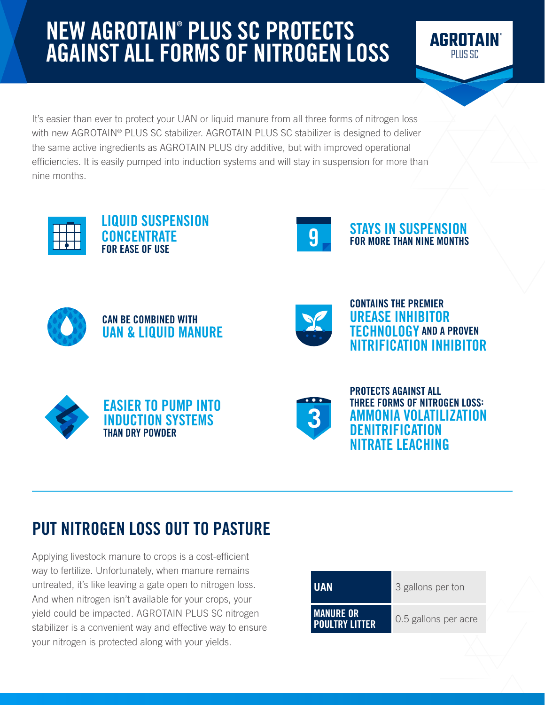# NEW AGROTAIN® PLUS SC PROTECTS AGAINST ALL FORMS OF NITROGEN LOSS



It's easier than ever to protect your UAN or liquid manure from all three forms of nitrogen loss with new AGROTAIN® PLUS SC stabilizer. AGROTAIN PLUS SC stabilizer is designed to deliver the same active ingredients as AGROTAIN PLUS dry additive, but with improved operational efficiencies. It is easily pumped into induction systems and will stay in suspension for more than nine months.



LIQUID SUSPENSION CONCENTRATE FOR EASE OF USE



**STAYS IN SUSPENSION**<br>FOR MORE THAN NINE MONTHS







CONTAINS THE PREMIER UREASE INHIBITOR TECHNOLOGY AND A PROVEN NITRIFICATION INHIBITOR







PROTECTS AGAINST ALL THREE FORMS OF NITROGEN LOSS: IMONIA VOLATILIZATION ITRIFICATION NITRATE LEACHING

# PUT NITROGEN LOSS OUT TO PASTURE

Applying livestock manure to crops is a cost-efficient way to fertilize. Unfortunately, when manure remains untreated, it's like leaving a gate open to nitrogen loss. And when nitrogen isn't available for your crops, your yield could be impacted. AGROTAIN PLUS SC nitrogen stabilizer is a convenient way and effective way to ensure your nitrogen is protected along with your yields.

| UAN                                       | 3 gallons per ton    |  |
|-------------------------------------------|----------------------|--|
| <b>MANURE OR</b><br><b>POULTRY LITTER</b> | 0.5 gallons per acre |  |